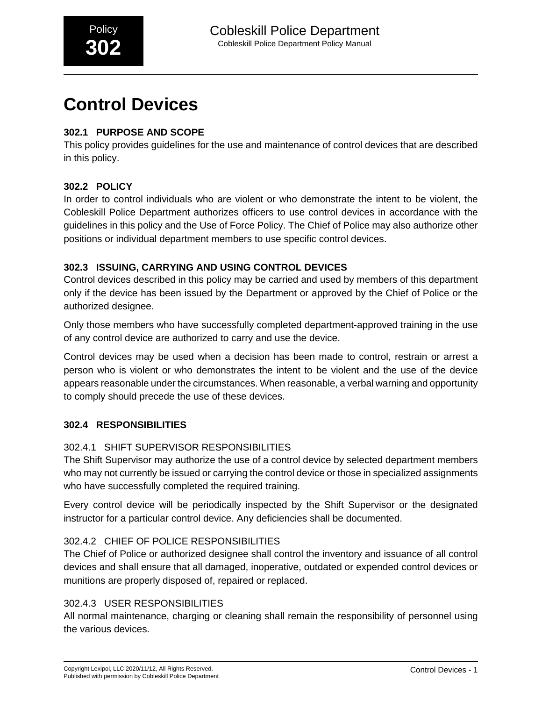# **Control Devices**

# **302.1 PURPOSE AND SCOPE**

This policy provides guidelines for the use and maintenance of control devices that are described in this policy.

# **302.2 POLICY**

In order to control individuals who are violent or who demonstrate the intent to be violent, the Cobleskill Police Department authorizes officers to use control devices in accordance with the guidelines in this policy and the Use of Force Policy. The Chief of Police may also authorize other positions or individual department members to use specific control devices.

# **302.3 ISSUING, CARRYING AND USING CONTROL DEVICES**

Control devices described in this policy may be carried and used by members of this department only if the device has been issued by the Department or approved by the Chief of Police or the authorized designee.

Only those members who have successfully completed department-approved training in the use of any control device are authorized to carry and use the device.

Control devices may be used when a decision has been made to control, restrain or arrest a person who is violent or who demonstrates the intent to be violent and the use of the device appears reasonable under the circumstances. When reasonable, a verbal warning and opportunity to comply should precede the use of these devices.

## **302.4 RESPONSIBILITIES**

## 302.4.1 SHIFT SUPERVISOR RESPONSIBILITIES

The Shift Supervisor may authorize the use of a control device by selected department members who may not currently be issued or carrying the control device or those in specialized assignments who have successfully completed the required training.

Every control device will be periodically inspected by the Shift Supervisor or the designated instructor for a particular control device. Any deficiencies shall be documented.

## 302.4.2 CHIEF OF POLICE RESPONSIBILITIES

The Chief of Police or authorized designee shall control the inventory and issuance of all control devices and shall ensure that all damaged, inoperative, outdated or expended control devices or munitions are properly disposed of, repaired or replaced.

## 302.4.3 USER RESPONSIBILITIES

All normal maintenance, charging or cleaning shall remain the responsibility of personnel using the various devices.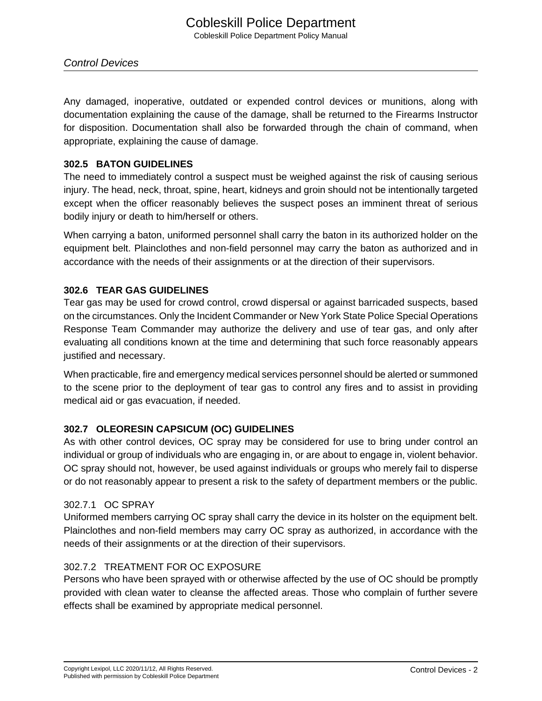Control Devices

Any damaged, inoperative, outdated or expended control devices or munitions, along with documentation explaining the cause of the damage, shall be returned to the Firearms Instructor for disposition. Documentation shall also be forwarded through the chain of command, when appropriate, explaining the cause of damage.

#### **302.5 BATON GUIDELINES**

The need to immediately control a suspect must be weighed against the risk of causing serious injury. The head, neck, throat, spine, heart, kidneys and groin should not be intentionally targeted except when the officer reasonably believes the suspect poses an imminent threat of serious bodily injury or death to him/herself or others.

When carrying a baton, uniformed personnel shall carry the baton in its authorized holder on the equipment belt. Plainclothes and non-field personnel may carry the baton as authorized and in accordance with the needs of their assignments or at the direction of their supervisors.

#### **302.6 TEAR GAS GUIDELINES**

Tear gas may be used for crowd control, crowd dispersal or against barricaded suspects, based on the circumstances. Only the Incident Commander or New York State Police Special Operations Response Team Commander may authorize the delivery and use of tear gas, and only after evaluating all conditions known at the time and determining that such force reasonably appears justified and necessary.

When practicable, fire and emergency medical services personnel should be alerted or summoned to the scene prior to the deployment of tear gas to control any fires and to assist in providing medical aid or gas evacuation, if needed.

## **302.7 OLEORESIN CAPSICUM (OC) GUIDELINES**

As with other control devices, OC spray may be considered for use to bring under control an individual or group of individuals who are engaging in, or are about to engage in, violent behavior. OC spray should not, however, be used against individuals or groups who merely fail to disperse or do not reasonably appear to present a risk to the safety of department members or the public.

#### 302.7.1 OC SPRAY

Uniformed members carrying OC spray shall carry the device in its holster on the equipment belt. Plainclothes and non-field members may carry OC spray as authorized, in accordance with the needs of their assignments or at the direction of their supervisors.

#### 302.7.2 TREATMENT FOR OC EXPOSURE

Persons who have been sprayed with or otherwise affected by the use of OC should be promptly provided with clean water to cleanse the affected areas. Those who complain of further severe effects shall be examined by appropriate medical personnel.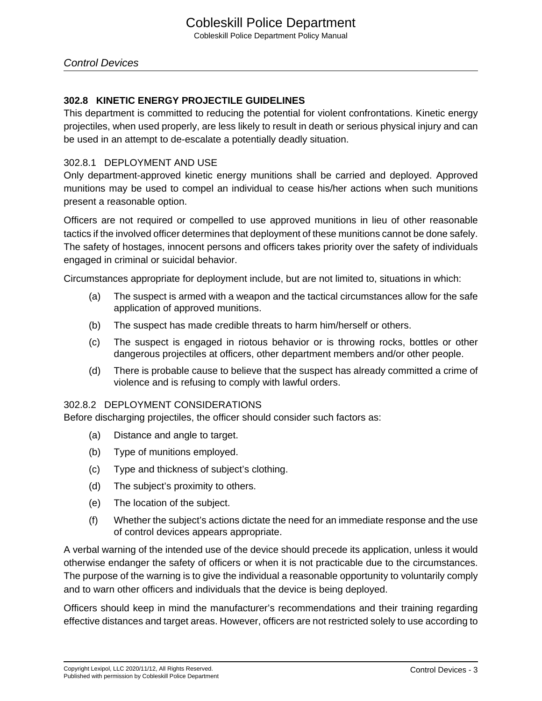#### **302.8 KINETIC ENERGY PROJECTILE GUIDELINES**

This department is committed to reducing the potential for violent confrontations. Kinetic energy projectiles, when used properly, are less likely to result in death or serious physical injury and can be used in an attempt to de-escalate a potentially deadly situation.

#### 302.8.1 DEPLOYMENT AND USE

Only department-approved kinetic energy munitions shall be carried and deployed. Approved munitions may be used to compel an individual to cease his/her actions when such munitions present a reasonable option.

Officers are not required or compelled to use approved munitions in lieu of other reasonable tactics if the involved officer determines that deployment of these munitions cannot be done safely. The safety of hostages, innocent persons and officers takes priority over the safety of individuals engaged in criminal or suicidal behavior.

Circumstances appropriate for deployment include, but are not limited to, situations in which:

- (a) The suspect is armed with a weapon and the tactical circumstances allow for the safe application of approved munitions.
- (b) The suspect has made credible threats to harm him/herself or others.
- (c) The suspect is engaged in riotous behavior or is throwing rocks, bottles or other dangerous projectiles at officers, other department members and/or other people.
- (d) There is probable cause to believe that the suspect has already committed a crime of violence and is refusing to comply with lawful orders.

#### 302.8.2 DEPLOYMENT CONSIDERATIONS

Before discharging projectiles, the officer should consider such factors as:

- (a) Distance and angle to target.
- (b) Type of munitions employed.
- (c) Type and thickness of subject's clothing.
- (d) The subject's proximity to others.
- (e) The location of the subject.
- (f) Whether the subject's actions dictate the need for an immediate response and the use of control devices appears appropriate.

A verbal warning of the intended use of the device should precede its application, unless it would otherwise endanger the safety of officers or when it is not practicable due to the circumstances. The purpose of the warning is to give the individual a reasonable opportunity to voluntarily comply and to warn other officers and individuals that the device is being deployed.

Officers should keep in mind the manufacturer's recommendations and their training regarding effective distances and target areas. However, officers are not restricted solely to use according to